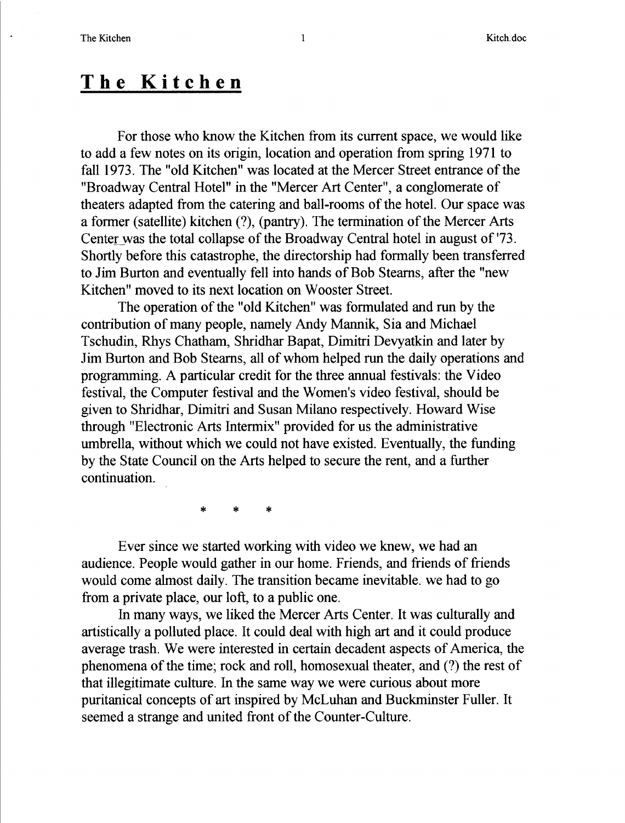## The Kitchen

For those who know the Kitchen from its current space, we would like to add a few notes on its origin, location and operation from spring 1971 to fall 1973 . The "old Kitchen" was located at the Mercer Street entrance of the "Broadway Central Hotel" in the "Mercer Art Center", a conglomerate of theaters adapted from the catering and ball-rooms of the hotel. Our space was a former (satellite) kitchen (?), (pantry). The termination of the Mercer Arts Center was the total collapse of the Broadway Central hotel in august of '73 . Shortly before this catastrophe, the directorship had formally been transferred to Jim Burton and eventually fell into hands of Bob Steams, after the "new Kitchen" moved to its next location on Wooster Street.

The operation of the "old Kitchen" was formulated and run by the contribution of many people, namely Andy Mannik, Sia and Michael Tschudin, Rhys Chatham, Shridhar Bapat, Dimitri Devyatkin and later by Jim Burton and Bob Steams, all of whom helped run the daily operations and programming. A particular credit for the three annual festivals : the Video festival, the Computer festival and the Women's video festival, should be given to Shridhar, Dimitri and Susan Milano respectively . Howard Wise through "Electronic Arts Intermix" provided for us the administrative umbrella, without which we could not have existed. Eventually, the funding by the State Council on the Arts helped to secure the rent, and a further continuation.

 $\ddagger$ 

Ever since we started working with video we knew, we had an audience. People would gather in our home . Friends, and friends of friends would come almost daily. The transition became inevitable, we had to go from a private place, our loft, to a public one.

In many ways, we liked the Mercer Arts Center. It was culturally and artistically a polluted place. It could deal with high art and it could produce average trash. We were interested in certain decadent aspects of America, the phenomena of the time; rock and roll, homosexual theater, and (?) the rest of that illegitimate culture. In the same way we were curious about more puritanical concepts of art inspired by McLuhan and Buckminster Fuller. It seemed a strange and united front of the Counter-Culture.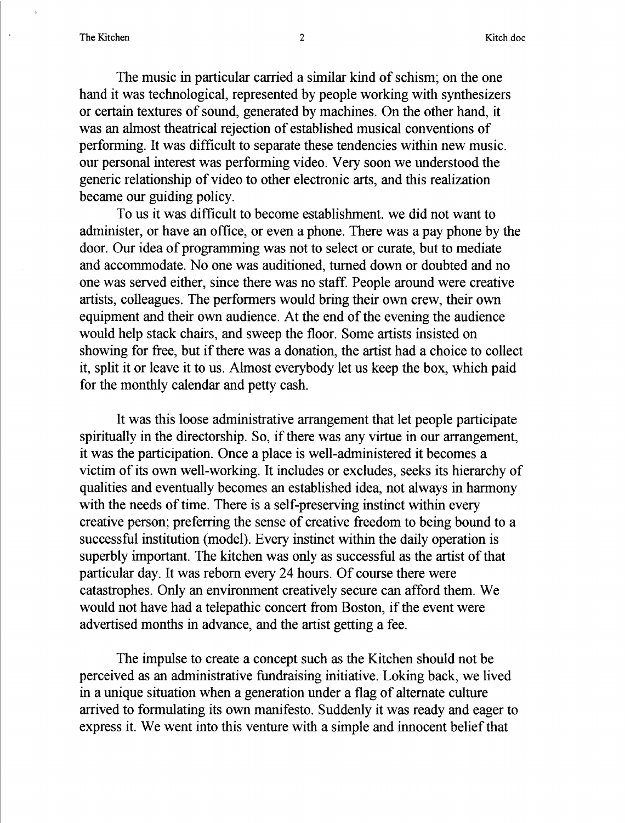The music in particular carried a similar kind of schism; on the one hand it was technological, represented by people working with synthesizers or certain textures of sound, generated by machines . On the other hand, it was an almost theatrical rejection of established musical conventions of performing. It was difficult to separate these tendencies within new music. our personal interest was performing video. Very soon we understood the generic relationship of video to other electronic arts, and this realization became our guiding policy.

To us it was difficult to become establishment. we did not want to administer, or have an office, or even a phone. There was a pay phone by the door. Our idea of programming was not to select or curate, but to mediate and accommodate. No one was auditioned, turned down or doubted and no one was served either, since there was no staff. People around were creative artists, colleagues. The performers would bring their own crew, their own equipment and their own audience. At the end of the evening the audience would help stack chairs, and sweep the floor. Some artists insisted on showing for free, but if there was a donation, the artist had a choice to collect it, split it or leave it to us . Almost everybody let us keep the box, which paid for the monthly calendar and petty cash.

It was this loose administrative arrangement that let people participate spiritually in the directorship. So, if there was any virtue in our arrangement, it was the participation. Once a place is well-administered it becomes a victim of its own well-working. It includes or excludes, seeks its hierarchy of qualities and eventually becomes an established idea, not always in harmony with the needs of time. There is a self-preserving instinct within every creative person; preferring the sense of creative freedom to being bound to a successful institution (model). Every instinct within the daily operation is superbly important. The kitchen was only as successful as the artist of that particular day. It was reborn every 24 hours . Of course there were catastrophes . Only an environment creatively secure can afford them. We would not have had a telepathic concert from Boston, if the event were advertised months in advance, and the artist getting a fee.

The impulse to create a concept such as the Kitchen should not be perceived as an administrative fundraising initiative . Loking back, we lived in a unique situation when a generation under a flag of alternate culture arrived to formulating its own manifesto. Suddenly it was ready and eager to express it . We went into this venture with <sup>a</sup> simple and innocent belief that